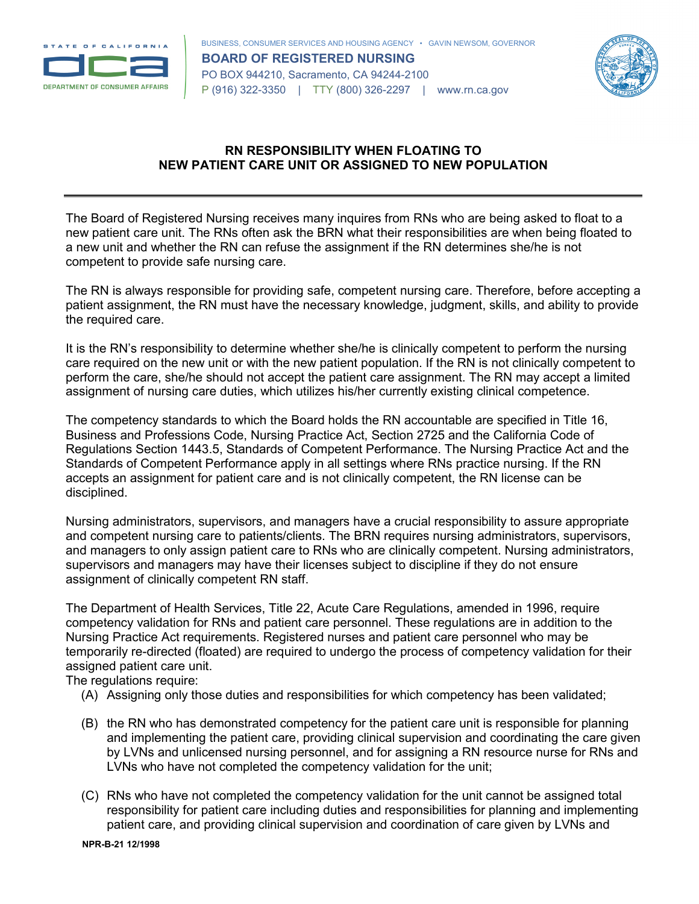



## **RN RESPONSIBILITY WHEN FLOATING TO NEW PATIENT CARE UNIT OR ASSIGNED TO NEW POPULATION**

The Board of Registered Nursing receives many inquires from RNs who are being asked to float to a new patient care unit. The RNs often ask the BRN what their responsibilities are when being floated to a new unit and whether the RN can refuse the assignment if the RN determines she/he is not competent to provide safe nursing care.

The RN is always responsible for providing safe, competent nursing care. Therefore, before accepting a patient assignment, the RN must have the necessary knowledge, judgment, skills, and ability to provide the required care.

It is the RN's responsibility to determine whether she/he is clinically competent to perform the nursing care required on the new unit or with the new patient population. If the RN is not clinically competent to perform the care, she/he should not accept the patient care assignment. The RN may accept a limited assignment of nursing care duties, which utilizes his/her currently existing clinical competence.

The competency standards to which the Board holds the RN accountable are specified in Title 16, Business and Professions Code, Nursing Practice Act, Section 2725 and the California Code of Regulations Section 1443.5, Standards of Competent Performance. The Nursing Practice Act and the Standards of Competent Performance apply in all settings where RNs practice nursing. If the RN accepts an assignment for patient care and is not clinically competent, the RN license can be disciplined.

Nursing administrators, supervisors, and managers have a crucial responsibility to assure appropriate and competent nursing care to patients/clients. The BRN requires nursing administrators, supervisors, and managers to only assign patient care to RNs who are clinically competent. Nursing administrators, supervisors and managers may have their licenses subject to discipline if they do not ensure assignment of clinically competent RN staff.

The Department of Health Services, Title 22, Acute Care Regulations, amended in 1996, require competency validation for RNs and patient care personnel. These regulations are in addition to the Nursing Practice Act requirements. Registered nurses and patient care personnel who may be temporarily re-directed (floated) are required to undergo the process of competency validation for their assigned patient care unit.

The regulations require:

- (A) Assigning only those duties and responsibilities for which competency has been validated;
- (B) the RN who has demonstrated competency for the patient care unit is responsible for planning and implementing the patient care, providing clinical supervision and coordinating the care given by LVNs and unlicensed nursing personnel, and for assigning a RN resource nurse for RNs and LVNs who have not completed the competency validation for the unit;
- (C) RNs who have not completed the competency validation for the unit cannot be assigned total responsibility for patient care including duties and responsibilities for planning and implementing patient care, and providing clinical supervision and coordination of care given by LVNs and